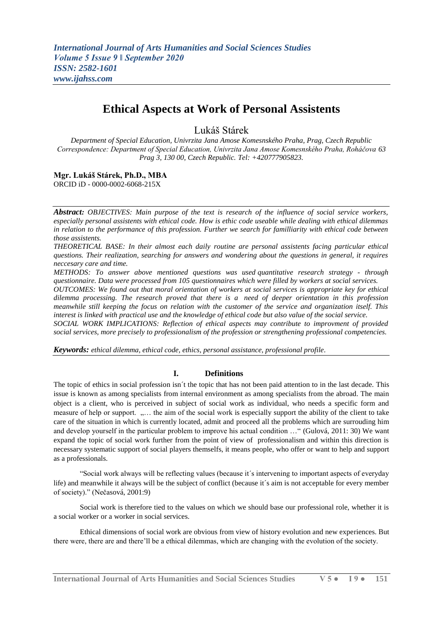# **Ethical Aspects at Work of Personal Assistents**

Lukáš Stárek

*Department of Special Education, Univrzita Jana Amose Komesnského Praha, Prag, Czech Republic Correspondence: Department of Special Education, Univrzita Jana Amose Komesnského Praha, Roháčova 63 Prag 3, 130 00, Czech Republic. Tel: +420777905823.*

**Mgr. Lukáš Stárek, Ph.D., MBA** ORCID iD - 0000-0002-6068-215X

*Abstract: OBJECTIVES: Main purpose of the text is research of the influence of social service workers, especially personal assistents with ethical code. How is ethic code useable while dealing with ethical dilemmas in relation to the performance of this profession. Further we search for familliarity with ethical code between those assistents.*

*THEORETICAL BASE: In their almost each daily routine are personal assistents facing particular ethical questions. Their realization, searching for answers and wondering about the questions in general, it requires neccesary care and time.*

*METHODS: To answer above mentioned questions was used quantitative research strategy - through questionnaire. Data were processed from 105 questionnaires which were filled by workers at social services.*

*OUTCOMES: We found out that moral orientation of workers at social services is appropriate key for ethical dilemma processing. The research proved that there is a need of deeper orientation in this profession meanwhile still keeping the focus on relation with the customer of the service and organization itself. This interest is linked with practical use and the knowledge of ethical code but also value of the social service.*

*SOCIAL WORK IMPLICATIONS: Reflection of ethical aspects may contribute to improvment of provided social services, more precisely to professionalism of the profession or strengthening professional competencies.*

*Keywords: ethical dilemma, ethical code, ethics, personal assistance, professional profile.*

## **I. Definitions**

The topic of ethics in social profession isn´t the topic that has not been paid attention to in the last decade. This issue is known as among specialists from internal environment as among specialists from the abroad. The main object is a client, who is perceived in subject of social work as individual, who needs a specific form and measure of help or support. ..... the aim of the social work is especially support the ability of the client to take care of the situation in which is currently located, admit and proceed all the problems which are surrouding him and develop yourself in the particular problem to improve his actual condition …" (Gulová, 2011: 30) We want expand the topic of social work further from the point of view of professionalism and within this direction is necessary systematic support of social players themselfs, it means people, who offer or want to help and support as a professionals.

"Social work always will be reflecting values (because it´s intervening to important aspects of everyday life) and meanwhile it always will be the subject of conflict (because it´s aim is not acceptable for every member of society)." (Nečasová, 2001:9)

Social work is therefore tied to the values on which we should base our professional role, whether it is a social worker or a worker in social services.

Ethical dimensions of social work are obvious from view of history evolution and new experiences. But there were, there are and there'll be a ethical dilemmas, which are changing with the evolution of the society.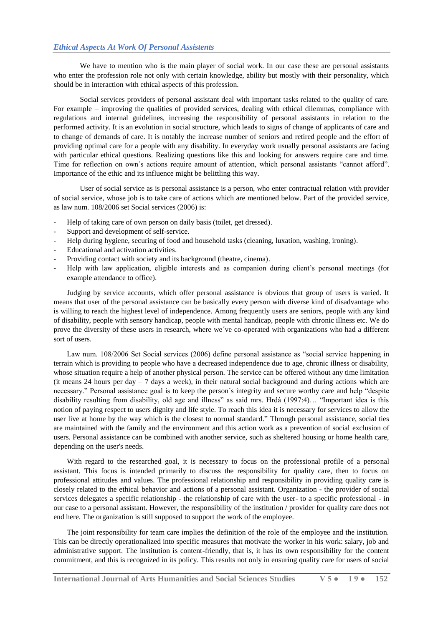We have to mention who is the main player of social work. In our case these are personal assistants who enter the profession role not only with certain knowledge, ability but mostly with their personality, which should be in interaction with ethical aspects of this profession.

Social services providers of personal assistant deal with important tasks related to the quality of care. For example – improving the qualities of provided services, dealing with ethical dilemmas, compliance with regulations and internal guidelines, increasing the responsibility of personal assistants in relation to the performed activity. It is an evolution in social structure, which leads to signs of change of applicants of care and to change of demands of care. It is notably the increase number of seniors and retired people and the effort of providing optimal care for a people with any disability. In everyday work usually personal assistants are facing with particular ethical questions. Realizing questions like this and looking for answers require care and time. Time for reflection on own´s actions require amount of attention, which personal assistants "cannot afford". Importance of the ethic and its influence might be belittling this way.

User of social service as is personal assistance is a person, who enter contractual relation with provider of social service, whose job is to take care of actions which are mentioned below. Part of the provided service, as law num. 108/2006 set Social services (2006) is:

- Help of taking care of own person on daily basis (toilet, get dressed).
- Support and development of self-service.
- Help during hygiene, securing of food and household tasks (cleaning, luxation, washing, ironing).
- Educational and activation activities.
- Providing contact with society and its background (theatre, cinema).
- Help with law application, eligible interests and as companion during client's personal meetings (for example attendance to office).

Judging by service accounts, which offer personal assistance is obvious that group of users is varied. It means that user of the personal assistance can be basically every person with diverse kind of disadvantage who is willing to reach the highest level of independence. Among frequently users are seniors, people with any kind of disability, people with sensory handicap, people with mental handicap, people with chronic illness etc. We do prove the diversity of these users in research, where we´ve co-operated with organizations who had a different sort of users.

Law num. 108/2006 Set Social services (2006) define personal assistance as "social service happening in terrain which is providing to people who have a decreased independence due to age, chronic illness or disability, whose situation require a help of another physical person. The service can be offered without any time limitation (it means 24 hours per day  $-7$  days a week), in their natural social background and during actions which are necessary." Personal assistance goal is to keep the person´s integrity and secure worthy care and help "despite disability resulting from disability, old age and illness" as said mrs. Hrdá (1997:4)… "Important idea is this notion of paying respect to users dignity and life style. To reach this idea it is necessary for services to allow the user live at home by the way which is the closest to normal standard." Through personal assistance, social ties are maintained with the family and the environment and this action work as a prevention of social exclusion of users. Personal assistance can be combined with another service, such as sheltered housing or home health care, depending on the user's needs.

With regard to the researched goal, it is necessary to focus on the professional profile of a personal assistant. This focus is intended primarily to discuss the responsibility for quality care, then to focus on professional attitudes and values. The professional relationship and responsibility in providing quality care is closely related to the ethical behavior and actions of a personal assistant. Organization - the provider of social services delegates a specific relationship - the relationship of care with the user- to a specific professional - in our case to a personal assistant. However, the responsibility of the institution / provider for quality care does not end here. The organization is still supposed to support the work of the employee.

The joint responsibility for team care implies the definition of the role of the employee and the institution. This can be directly operationalized into specific measures that motivate the worker in his work: salary, job and administrative support. The institution is content-friendly, that is, it has its own responsibility for the content commitment, and this is recognized in its policy. This results not only in ensuring quality care for users of social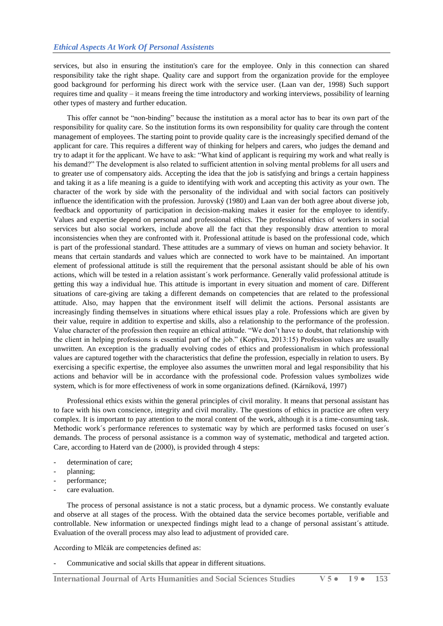services, but also in ensuring the institution's care for the employee. Only in this connection can shared responsibility take the right shape. Quality care and support from the organization provide for the employee good background for performing his direct work with the service user. (Laan van der, 1998) Such support requires time and quality – it means freeing the time introductory and working interviews, possibility of learning other types of mastery and further education.

This offer cannot be "non-binding" because the institution as a moral actor has to bear its own part of the responsibility for quality care. So the institution forms its own responsibility for quality care through the content management of employees. The starting point to provide quality care is the increasingly specified demand of the applicant for care. This requires a different way of thinking for helpers and carers, who judges the demand and try to adapt it for the applicant. We have to ask: "What kind of applicant is requiring my work and what really is his demand?" The development is also related to sufficient attention in solving mental problems for all users and to greater use of compensatory aids. Accepting the idea that the job is satisfying and brings a certain happiness and taking it as a life meaning is a guide to identifying with work and accepting this activity as your own. The character of the work by side with the personality of the individual and with social factors can positively influence the identification with the profession. Jurovský (1980) and Laan van der both agree about diverse job, feedback and opportunity of participation in decision-making makes it easier for the employee to identify. Values and expertise depend on personal and professional ethics. The professional ethics of workers in social services but also social workers, include above all the fact that they responsibly draw attention to moral inconsistencies when they are confronted with it. Professional attitude is based on the professional code, which is part of the professional standard. These attitudes are a summary of views on human and society behavior. It means that certain standards and values which are connected to work have to be maintained. An important element of professional attitude is still the requirement that the personal assistant should be able of his own actions, which will be tested in a relation assistant´s work performance. Generally valid professional attitude is getting this way a individual hue. This attitude is important in every situation and moment of care. Different situations of care-giving are taking a different demands on competencies that are related to the professional attitude. Also, may happen that the environment itself will delimit the actions. Personal assistants are increasingly finding themselves in situations where ethical issues play a role. Professions which are given by their value, require in addition to expertise and skills, also a relationship to the performance of the profession. Value character of the profession then require an ethical attitude. "We don't have to doubt, that relationship with the client in helping professions is essential part of the job." (Kopřiva, 2013:15) Profession values are usually unwritten. An exception is the gradually evolving codes of ethics and professionalism in which professional values are captured together with the characteristics that define the profession, especially in relation to users. By exercising a specific expertise, the employee also assumes the unwritten moral and legal responsibility that his actions and behavior will be in accordance with the professional code. Profession values symbolizes wide system, which is for more effectiveness of work in some organizations defined. (Kárníková, 1997)

Professional ethics exists within the general principles of civil morality. It means that personal assistant has to face with his own conscience, integrity and civil morality. The questions of ethics in practice are often very complex. It is important to pay attention to the moral content of the work, although it is a time-consuming task. Methodic work´s performance references to systematic way by which are performed tasks focused on user´s demands. The process of personal assistance is a common way of systematic, methodical and targeted action. Care, according to Haterd van de (2000), is provided through 4 steps:

- determination of care;
- planning;
- performance;
- care evaluation.

The process of personal assistance is not a static process, but a dynamic process. We constantly evaluate and observe at all stages of the process. With the obtained data the service becomes portable, verifiable and controllable. New information or unexpected findings might lead to a change of personal assistant´s attitude. Evaluation of the overall process may also lead to adjustment of provided care.

According to Mlčák are competencies defined as:

Communicative and social skills that appear in different situations.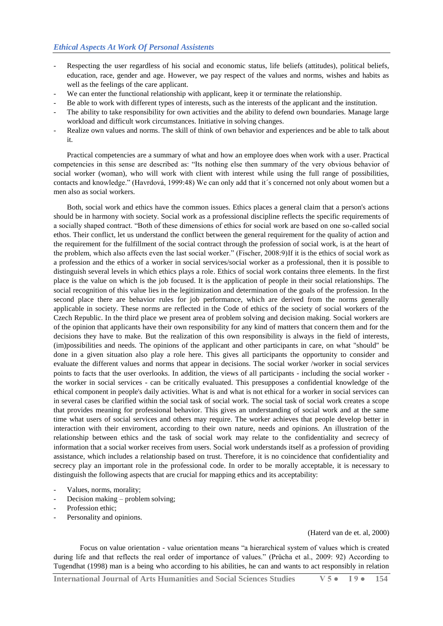- Respecting the user regardless of his social and economic status, life beliefs (attitudes), political beliefs, education, race, gender and age. However, we pay respect of the values and norms, wishes and habits as well as the feelings of the care applicant.
- We can enter the functional relationship with applicant, keep it or terminate the relationship.
- Be able to work with different types of interests, such as the interests of the applicant and the institution.
- The ability to take responsibility for own activities and the ability to defend own boundaries. Manage large workload and difficult work circumstances. Initiative in solving changes.
- Realize own values and norms. The skill of think of own behavior and experiences and be able to talk about it.

Practical competencies are a summary of what and how an employee does when work with a user. Practical competencies in this sense are described as: "Its nothing else then summary of the very obvious behavior of social worker (woman), who will work with client with interest while using the full range of possibilities, contacts and knowledge." (Havrdová, 1999:48) We can only add that it´s concerned not only about women but a men also as social workers.

Both, social work and ethics have the common issues. Ethics places a general claim that a person's actions should be in harmony with society. Social work as a professional discipline reflects the specific requirements of a socially shaped contract. "Both of these dimensions of ethics for social work are based on one so-called social ethos. Their conflict, let us understand the conflict between the general requirement for the quality of action and the requirement for the fulfillment of the social contract through the profession of social work, is at the heart of the problem, which also affects even the last social worker." (Fischer, 2008:9)If it is the ethics of social work as a profession and the ethics of a worker in social services/social worker as a professional, then it is possible to distinguish several levels in which ethics plays a role. Ethics of social work contains three elements. In the first place is the value on which is the job focused. It is the application of people in their social relationships. The social recognition of this value lies in the legitimization and determination of the goals of the profession. In the second place there are behavior rules for job performance, which are derived from the norms generally applicable in society. These norms are reflected in the Code of ethics of the society of social workers of the Czech Republic. In the third place we present area of problem solving and decision making. Social workers are of the opinion that applicants have their own responsibility for any kind of matters that concern them and for the decisions they have to make. But the realization of this own responsibility is always in the field of interests, (im)possibilities and needs. The opinions of the applicant and other participants in care, on what "should" be done in a given situation also play a role here. This gives all participants the opportunity to consider and evaluate the different values and norms that appear in decisions. The social worker /worker in social services points to facts that the user overlooks. In addition, the views of all participants - including the social worker the worker in social services - can be critically evaluated. This presupposes a confidential knowledge of the ethical component in people's daily activities. What is and what is not ethical for a worker in social services can in several cases be clarified within the social task of social work. The social task of social work creates a scope that provides meaning for professional behavior. This gives an understanding of social work and at the same time what users of social services and others may require. The worker achieves that people develop better in interaction with their enviroment, according to their own nature, needs and opinions. An illustration of the relationship between ethics and the task of social work may relate to the confidentiality and secrecy of information that a social worker receives from users. Social work understands itself as a profession of providing assistance, which includes a relationship based on trust. Therefore, it is no coincidence that confidentiality and secrecy play an important role in the professional code. In order to be morally acceptable, it is necessary to distinguish the following aspects that are crucial for mapping ethics and its acceptability:

- Values, norms, morality;
- Decision making problem solving;
- Profession ethic;
- Personality and opinions.

#### (Haterd van de et. al, 2000)

Focus on value orientation - value orientation means "a hierarchical system of values which is created during life and that reflects the real order of importance of values." (Průcha et al., 2009: 92) According to Tugendhat (1998) man is a being who according to his abilities, he can and wants to act responsibly in relation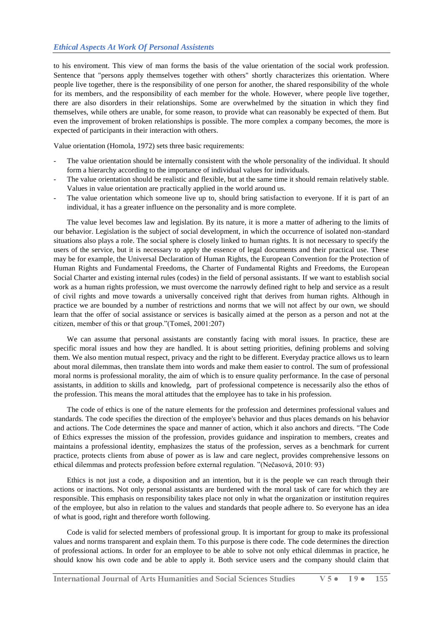to his enviroment. This view of man forms the basis of the value orientation of the social work profession. Sentence that "persons apply themselves together with others" shortly characterizes this orientation. Where people live together, there is the responsibility of one person for another, the shared responsibility of the whole for its members, and the responsibility of each member for the whole. However, where people live together, there are also disorders in their relationships. Some are overwhelmed by the situation in which they find themselves, while others are unable, for some reason, to provide what can reasonably be expected of them. But even the improvement of broken relationships is possible. The more complex a company becomes, the more is expected of participants in their interaction with others.

Value orientation (Homola, 1972) sets three basic requirements:

- The value orientation should be internally consistent with the whole personality of the individual. It should form a hierarchy according to the importance of individual values for individuals.
- The value orientation should be realistic and flexible, but at the same time it should remain relatively stable. Values in value orientation are practically applied in the world around us.
- The value orientation which someone live up to, should bring satisfaction to everyone. If it is part of an individual, it has a greater influence on the personality and is more complete.

The value level becomes law and legislation. By its nature, it is more a matter of adhering to the limits of our behavior. Legislation is the subject of social development, in which the occurrence of isolated non-standard situations also plays a role. The social sphere is closely linked to human rights. It is not necessary to specify the users of the service, but it is necessary to apply the essence of legal documents and their practical use. These may be for example, the Universal Declaration of Human Rights, the European Convention for the Protection of Human Rights and Fundamental Freedoms, the Charter of Fundamental Rights and Freedoms, the European Social Charter and existing internal rules (codes) in the field of personal assistants. If we want to establish social work as a human rights profession, we must overcome the narrowly defined right to help and service as a result of civil rights and move towards a universally conceived right that derives from human rights. Although in practice we are bounded by a number of restrictions and norms that we will not affect by our own, we should learn that the offer of social assistance or services is basically aimed at the person as a person and not at the citizen, member of this or that group."(Tomeš, 2001:207)

We can assume that personal assistants are constantly facing with moral issues. In practice, these are specific moral issues and how they are handled. It is about setting priorities, defining problems and solving them. We also mention mutual respect, privacy and the right to be different. Everyday practice allows us to learn about moral dilemmas, then translate them into words and make them easier to control. The sum of professional moral norms is professional morality, the aim of which is to ensure quality performance. In the case of personal assistants, in addition to skills and knowledg, part of professional competence is necessarily also the ethos of the profession. This means the moral attitudes that the employee has to take in his profession.

The code of ethics is one of the nature elements for the profession and determines professional values and standards. The code specifies the direction of the employee's behavior and thus places demands on his behavior and actions. The Code determines the space and manner of action, which it also anchors and directs. "The Code of Ethics expresses the mission of the profession, provides guidance and inspiration to members, creates and maintains a professional identity, emphasizes the status of the profession, serves as a benchmark for current practice, protects clients from abuse of power as is law and care neglect, provides comprehensive lessons on ethical dilemmas and protects profession before external regulation. "(Nečasová, 2010: 93)

Ethics is not just a code, a disposition and an intention, but it is the people we can reach through their actions or inactions. Not only personal assistants are burdened with the moral task of care for which they are responsible. This emphasis on responsibility takes place not only in what the organization or institution requires of the employee, but also in relation to the values and standards that people adhere to. So everyone has an idea of what is good, right and therefore worth following.

Code is valid for selected members of professional group. It is important for group to make its professional values and norms transparent and explain them. To this purpose is there code. The code determines the direction of professional actions. In order for an employee to be able to solve not only ethical dilemmas in practice, he should know his own code and be able to apply it. Both service users and the company should claim that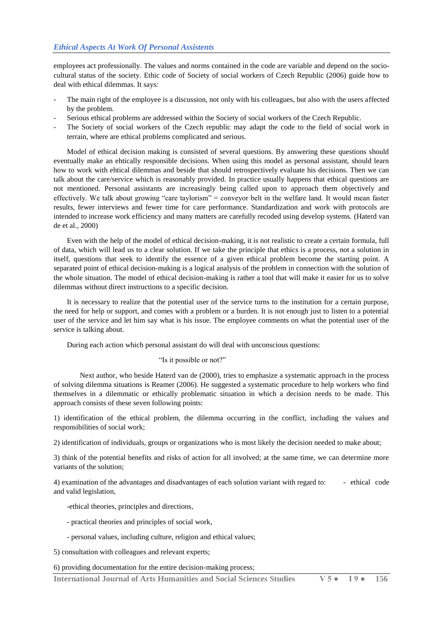employees act professionally. The values and norms contained in the code are variable and depend on the sociocultural status of the society. Ethic code of Society of social workers of Czech Republic (2006) guide how to deal with ethical dilemmas. It says:

- The main right of the employee is a discussion, not only with his colleagues, but also with the users affected by the problem.
- Serious ethical problems are addressed within the Society of social workers of the Czech Republic.
- The Society of social workers of the Czech republic may adapt the code to the field of social work in terrain, where are ethical problems complicated and serious.

Model of ethical decision making is consisted of several questions. By answering these questions should eventually make an ehtically responsible decisions. When using this model as personal assistant, should learn how to work with ehtical dilemmas and beside that should retrospectively evaluate his decisions. Then we can talk about the care/service which is reasonably provided. In practice usually happens that ethical questions are not mentioned. Personal assistants are increasingly being called upon to approach them objectively and effectively. We talk about growing "care taylorism" = conveyor belt in the welfare land. It would mean faster results, fewer interviews and fewer time for care performance. Standardization and work with protocols are intended to increase work efficiency and many matters are carefully recoded using develop systems. (Haterd van de et al., 2000)

Even with the help of the model of ethical decision-making, it is not realistic to create a certain formula, full of data, which will lead us to a clear solution. If we take the principle that ethics is a process, not a solution in itself, questions that seek to identify the essence of a given ethical problem become the starting point. A separated point of ethical decision-making is a logical analysis of the problem in connection with the solution of the whole situation. The model of ethical decision-making is rather a tool that will make it easier for us to solve dilemmas without direct instructions to a specific decision.

It is necessary to realize that the potential user of the service turns to the institution for a certain purpose, the need for help or support, and comes with a problem or a burden. It is not enough just to listen to a potential user of the service and let him say what is his issue. The employee comments on what the potential user of the service is talking about.

During each action which personal assistant do will deal with unconscious questions:

"Is it possible or not?"

Next author, who beside Haterd van de (2000), tries to emphasize a systematic approach in the process of solving dilemma situations is Reamer (2006). He suggested a systematic procedure to help workers who find themselves in a dilemmatic or ethically problematic situation in which a decision needs to be made. This approach consists of these seven following points:

1) identification of the ethical problem, the dilemma occurring in the conflict, including the values and responsibilities of social work;

2) identification of individuals, groups or organizations who is most likely the decision needed to make about;

3) think of the potential benefits and risks of action for all involved; at the same time, we can determine more variants of the solution;

4) examination of the advantages and disadvantages of each solution variant with regard to: - ethical code and valid legislation,

- -ethical theories, principles and directions,
- practical theories and principles of social work,
- personal values, including culture, religion and ethical values;

5) consultation with colleagues and relevant experts;

6) providing documentation for the entire decision-making process;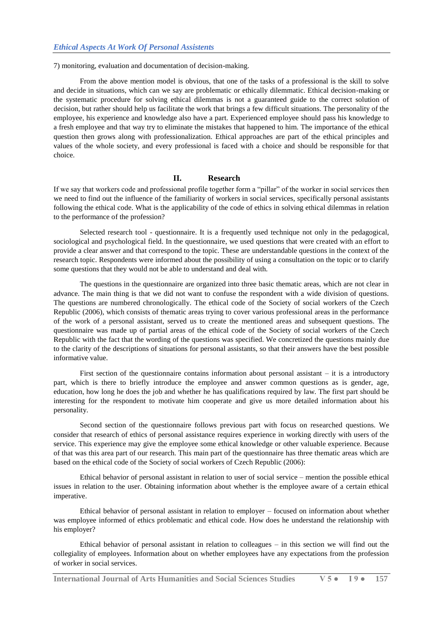7) monitoring, evaluation and documentation of decision-making.

From the above mention model is obvious, that one of the tasks of a professional is the skill to solve and decide in situations, which can we say are problematic or ethically dilemmatic. Ethical decision-making or the systematic procedure for solving ethical dilemmas is not a guaranteed guide to the correct solution of decision, but rather should help us facilitate the work that brings a few difficult situations. The personality of the employee, his experience and knowledge also have a part. Experienced employee should pass his knowledge to a fresh employee and that way try to eliminate the mistakes that happened to him. The importance of the ethical question then grows along with professionalization. Ethical approaches are part of the ethical principles and values of the whole society, and every professional is faced with a choice and should be responsible for that choice.

### **II. Research**

If we say that workers code and professional profile together form a "pillar" of the worker in social services then we need to find out the influence of the familiarity of workers in social services, specifically personal assistants following the ethical code. What is the applicability of the code of ethics in solving ethical dilemmas in relation to the performance of the profession?

Selected research tool - questionnaire. It is a frequently used technique not only in the pedagogical, sociological and psychological field. In the questionnaire, we used questions that were created with an effort to provide a clear answer and that correspond to the topic. These are understandable questions in the context of the research topic. Respondents were informed about the possibility of using a consultation on the topic or to clarify some questions that they would not be able to understand and deal with.

The questions in the questionnaire are organized into three basic thematic areas, which are not clear in advance. The main thing is that we did not want to confuse the respondent with a wide division of questions. The questions are numbered chronologically. The ethical code of the Society of social workers of the Czech Republic (2006), which consists of thematic areas trying to cover various professional areas in the performance of the work of a personal assistant, served us to create the mentioned areas and subsequent questions. The questionnaire was made up of partial areas of the ethical code of the Society of social workers of the Czech Republic with the fact that the wording of the questions was specified. We concretized the questions mainly due to the clarity of the descriptions of situations for personal assistants, so that their answers have the best possible informative value.

First section of the questionnaire contains information about personal assistant  $-$  it is a introductory part, which is there to briefly introduce the employee and answer common questions as is gender, age, education, how long he does the job and whether he has qualifications required by law. The first part should be interesting for the respondent to motivate him cooperate and give us more detailed information about his personality.

Second section of the questionnaire follows previous part with focus on researched questions. We consider that research of ethics of personal assistance requires experience in working directly with users of the service. This experience may give the employee some ethical knowledge or other valuable experience. Because of that was this area part of our research. This main part of the questionnaire has three thematic areas which are based on the ethical code of the Society of social workers of Czech Republic (2006):

Ethical behavior of personal assistant in relation to user of social service – mention the possible ethical issues in relation to the user. Obtaining information about whether is the employee aware of a certain ethical imperative.

Ethical behavior of personal assistant in relation to employer – focused on information about whether was employee informed of ethics problematic and ethical code. How does he understand the relationship with his employer?

Ethical behavior of personal assistant in relation to colleagues – in this section we will find out the collegiality of employees. Information about on whether employees have any expectations from the profession of worker in social services.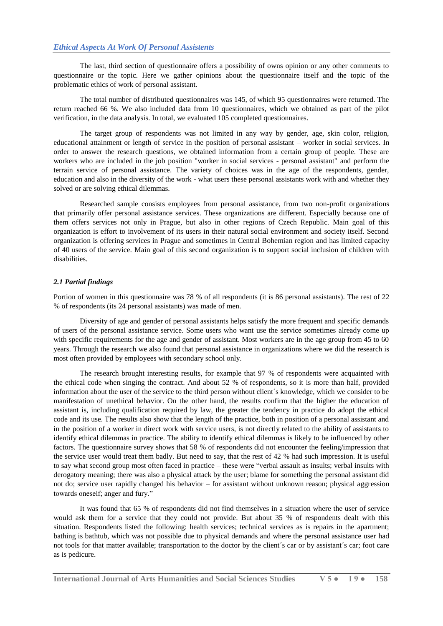The last, third section of questionnaire offers a possibility of owns opinion or any other comments to questionnaire or the topic. Here we gather opinions about the questionnaire itself and the topic of the problematic ethics of work of personal assistant.

The total number of distributed questionnaires was 145, of which 95 questionnaires were returned. The return reached 66 %. We also included data from 10 questionnaires, which we obtained as part of the pilot verification, in the data analysis. In total, we evaluated 105 completed questionnaires.

The target group of respondents was not limited in any way by gender, age, skin color, religion, educational attainment or length of service in the position of personal assistant – worker in social services. In order to answer the research questions, we obtained information from a certain group of people. These are workers who are included in the job position "worker in social services - personal assistant" and perform the terrain service of personal assistance. The variety of choices was in the age of the respondents, gender, education and also in the diversity of the work - what users these personal assistants work with and whether they solved or are solving ethical dilemmas.

Researched sample consists employees from personal assistance, from two non-profit organizations that primarily offer personal assistance services. These organizations are different. Especially because one of them offers services not only in Prague, but also in other regions of Czech Republic. Main goal of this organization is effort to involvement of its users in their natural social environment and society itself. Second organization is offering services in Prague and sometimes in Central Bohemian region and has limited capacity of 40 users of the service. Main goal of this second organization is to support social inclusion of children with disabilities.

#### *2.1 Partial findings*

Portion of women in this questionnaire was 78 % of all respondents (it is 86 personal assistants). The rest of 22 % of respondents (its 24 personal assistants) was made of men.

Diversity of age and gender of personal assistants helps satisfy the more frequent and specific demands of users of the personal assistance service. Some users who want use the service sometimes already come up with specific requirements for the age and gender of assistant. Most workers are in the age group from 45 to 60 years. Through the research we also found that personal assistance in organizations where we did the research is most often provided by employees with secondary school only.

The research brought interesting results, for example that 97 % of respondents were acquainted with the ethical code when singing the contract. And about 52 % of respondents, so it is more than half, provided information about the user of the service to the third person without client´s knowledge, which we consider to be manifestation of unethical behavior. On the other hand, the results confirm that the higher the education of assistant is, including qualification required by law, the greater the tendency in practice do adopt the ethical code and its use. The results also show that the length of the practice, both in position of a personal assistant and in the position of a worker in direct work with service users, is not directly related to the ability of assistants to identify ethical dilemmas in practice. The ability to identify ethical dilemmas is likely to be influenced by other factors. The questionnaire survey shows that 58 % of respondents did not encounter the feeling/impression that the service user would treat them badly. But need to say, that the rest of 42 % had such impression. It is useful to say what second group most often faced in practice – these were "verbal assault as insults; verbal insults with derogatory meaning; there was also a physical attack by the user; blame for something the personal assistant did not do; service user rapidly changed his behavior – for assistant without unknown reason; physical aggression towards oneself; anger and fury."

It was found that 65 % of respondents did not find themselves in a situation where the user of service would ask them for a service that they could not provide. But about 35 % of respondents dealt with this situation. Respondents listed the following: health services; technical services as is repairs in the apartment; bathing is bathtub, which was not possible due to physical demands and where the personal assistance user had not tools for that matter available; transportation to the doctor by the client's car or by assistant's car; foot care as is pedicure.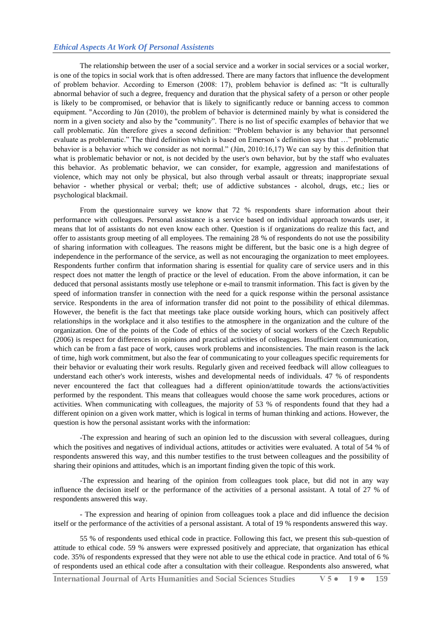#### *Ethical Aspects At Work Of Personal Assistents*

The relationship between the user of a social service and a worker in social services or a social worker, is one of the topics in social work that is often addressed. There are many factors that influence the development of problem behavior. According to Emerson (2008: 17), problem behavior is defined as: "It is culturally abnormal behavior of such a degree, frequency and duration that the physical safety of a person or other people is likely to be compromised, or behavior that is likely to significantly reduce or banning access to common equipment. "According to Jůn (2010), the problem of behavior is determined mainly by what is considered the norm in a given society and also by the "community". There is no list of specific examples of behavior that we call problematic. Jůn therefore gives a second definition: "Problem behavior is any behavior that personnel evaluate as problematic." The third definition which is based on Emerson´s definition says that …" problematic behavior is a behavior which we consider as not normal." (Jůn, 2010:16,17) We can say by this definition that what is problematic behavior or not, is not decided by the user's own behavior, but by the staff who evaluates this behavior. As problematic behavior, we can consider, for example, aggression and manifestations of violence, which may not only be physical, but also through verbal assault or threats; inappropriate sexual behavior - whether physical or verbal; theft; use of addictive substances - alcohol, drugs, etc.; lies or psychological blackmail.

From the questionnaire survey we know that 72 % respondents share information about their performance with colleagues. Personal assistance is a service based on individual approach towards user, it means that lot of assistants do not even know each other. Question is if organizations do realize this fact, and offer to assistants group meeting of all employees. The remaining 28 % of respondents do not use the possibility of sharing information with colleagues. The reasons might be different, but the basic one is a high degree of independence in the performance of the service, as well as not encouraging the organization to meet employees. Respondents further confirm that information sharing is essential for quality care of service users and in this respect does not matter the length of practice or the level of education. From the above information, it can be deduced that personal assistants mostly use telephone or e-mail to transmit information. This fact is given by the speed of information transfer in connection with the need for a quick response within the personal assistance service. Respondents in the area of information transfer did not point to the possibility of ethical dilemmas. However, the benefit is the fact that meetings take place outside working hours, which can positively affect relationships in the workplace and it also testifies to the atmosphere in the organization and the culture of the organization. One of the points of the Code of ethics of the society of social workers of the Czech Republic (2006) is respect for differences in opinions and practical activities of colleagues. Insufficient communication, which can be from a fast pace of work, causes work problems and inconsistencies. The main reason is the lack of time, high work commitment, but also the fear of communicating to your colleagues specific requirements for their behavior or evaluating their work results. Regularly given and received feedback will allow colleagues to understand each other's work interests, wishes and developmental needs of individuals. 47 % of respondents never encountered the fact that colleagues had a different opinion/attitude towards the actions/activities performed by the respondent. This means that colleagues would choose the same work procedures, actions or activities. When communicating with colleagues, the majority of 53 % of respondents found that they had a different opinion on a given work matter, which is logical in terms of human thinking and actions. However, the question is how the personal assistant works with the information:

-The expression and hearing of such an opinion led to the discussion with several colleagues, during which the positives and negatives of individual actions, attitudes or activities were evaluated. A total of 54 % of respondents answered this way, and this number testifies to the trust between colleagues and the possibility of sharing their opinions and attitudes, which is an important finding given the topic of this work.

-The expression and hearing of the opinion from colleagues took place, but did not in any way influence the decision itself or the performance of the activities of a personal assistant. A total of 27 % of respondents answered this way.

- The expression and hearing of opinion from colleagues took a place and did influence the decision itself or the performance of the activities of a personal assistant. A total of 19 % respondents answered this way.

55 % of respondents used ethical code in practice. Following this fact, we present this sub-question of attitude to ethical code. 59 % answers were expressed positively and appreciate, that organization has ethical code. 35% of respondents expressed that they were not able to use the ethical code in practice. And total of 6 % of respondents used an ethical code after a consultation with their colleague. Respondents also answered, what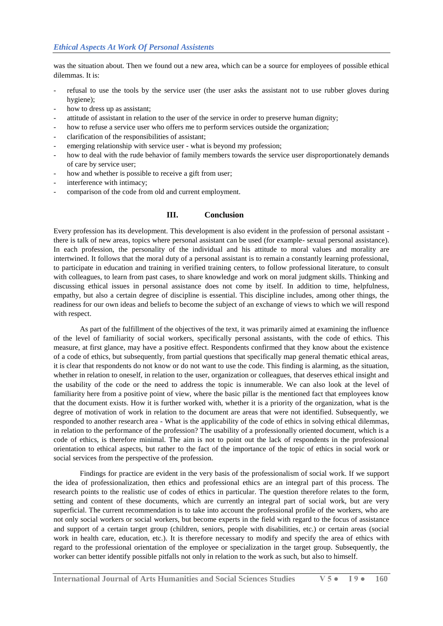was the situation about. Then we found out a new area, which can be a source for employees of possible ethical dilemmas. It is:

- refusal to use the tools by the service user (the user asks the assistant not to use rubber gloves during hygiene);
- how to dress up as assistant;
- attitude of assistant in relation to the user of the service in order to preserve human dignity;
- how to refuse a service user who offers me to perform services outside the organization;
- clarification of the responsibilities of assistant;
- emerging relationship with service user what is beyond my profession;
- how to deal with the rude behavior of family members towards the service user disproportionately demands of care by service user;
- how and whether is possible to receive a gift from user;
- interference with intimacy;
- comparison of the code from old and current employment.

#### **III. Conclusion**

Every profession has its development. This development is also evident in the profession of personal assistant there is talk of new areas, topics where personal assistant can be used (for example- sexual personal assistance). In each profession, the personality of the individual and his attitude to moral values and morality are intertwined. It follows that the moral duty of a personal assistant is to remain a constantly learning professional, to participate in education and training in verified training centers, to follow professional literature, to consult with colleagues, to learn from past cases, to share knowledge and work on moral judgment skills. Thinking and discussing ethical issues in personal assistance does not come by itself. In addition to time, helpfulness, empathy, but also a certain degree of discipline is essential. This discipline includes, among other things, the readiness for our own ideas and beliefs to become the subject of an exchange of views to which we will respond with respect.

As part of the fulfillment of the objectives of the text, it was primarily aimed at examining the influence of the level of familiarity of social workers, specifically personal assistants, with the code of ethics. This measure, at first glance, may have a positive effect. Respondents confirmed that they know about the existence of a code of ethics, but subsequently, from partial questions that specifically map general thematic ethical areas, it is clear that respondents do not know or do not want to use the code. This finding is alarming, as the situation, whether in relation to oneself, in relation to the user, organization or colleagues, that deserves ethical insight and the usability of the code or the need to address the topic is innumerable. We can also look at the level of familiarity here from a positive point of view, where the basic pillar is the mentioned fact that employees know that the document exists. How it is further worked with, whether it is a priority of the organization, what is the degree of motivation of work in relation to the document are areas that were not identified. Subsequently, we responded to another research area - What is the applicability of the code of ethics in solving ethical dilemmas, in relation to the performance of the profession? The usability of a professionally oriented document, which is a code of ethics, is therefore minimal. The aim is not to point out the lack of respondents in the professional orientation to ethical aspects, but rather to the fact of the importance of the topic of ethics in social work or social services from the perspective of the profession.

Findings for practice are evident in the very basis of the professionalism of social work. If we support the idea of professionalization, then ethics and professional ethics are an integral part of this process. The research points to the realistic use of codes of ethics in particular. The question therefore relates to the form, setting and content of these documents, which are currently an integral part of social work, but are very superficial. The current recommendation is to take into account the professional profile of the workers, who are not only social workers or social workers, but become experts in the field with regard to the focus of assistance and support of a certain target group (children, seniors, people with disabilities, etc.) or certain areas (social work in health care, education, etc.). It is therefore necessary to modify and specify the area of ethics with regard to the professional orientation of the employee or specialization in the target group. Subsequently, the worker can better identify possible pitfalls not only in relation to the work as such, but also to himself.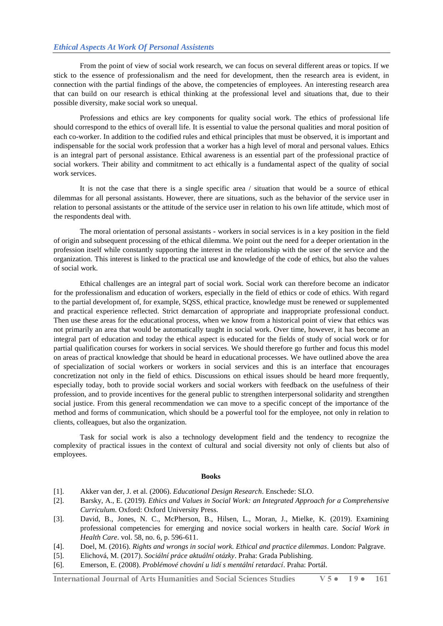From the point of view of social work research, we can focus on several different areas or topics. If we stick to the essence of professionalism and the need for development, then the research area is evident, in connection with the partial findings of the above, the competencies of employees. An interesting research area that can build on our research is ethical thinking at the professional level and situations that, due to their possible diversity, make social work so unequal.

Professions and ethics are key components for quality social work. The ethics of professional life should correspond to the ethics of overall life. It is essential to value the personal qualities and moral position of each co-worker. In addition to the codified rules and ethical principles that must be observed, it is important and indispensable for the social work profession that a worker has a high level of moral and personal values. Ethics is an integral part of personal assistance. Ethical awareness is an essential part of the professional practice of social workers. Their ability and commitment to act ethically is a fundamental aspect of the quality of social work services.

It is not the case that there is a single specific area / situation that would be a source of ethical dilemmas for all personal assistants. However, there are situations, such as the behavior of the service user in relation to personal assistants or the attitude of the service user in relation to his own life attitude, which most of the respondents deal with.

The moral orientation of personal assistants - workers in social services is in a key position in the field of origin and subsequent processing of the ethical dilemma. We point out the need for a deeper orientation in the profession itself while constantly supporting the interest in the relationship with the user of the service and the organization. This interest is linked to the practical use and knowledge of the code of ethics, but also the values of social work.

Ethical challenges are an integral part of social work. Social work can therefore become an indicator for the professionalism and education of workers, especially in the field of ethics or code of ethics. With regard to the partial development of, for example, SQSS, ethical practice, knowledge must be renewed or supplemented and practical experience reflected. Strict demarcation of appropriate and inappropriate professional conduct. Then use these areas for the educational process, when we know from a historical point of view that ethics was not primarily an area that would be automatically taught in social work. Over time, however, it has become an integral part of education and today the ethical aspect is educated for the fields of study of social work or for partial qualification courses for workers in social services. We should therefore go further and focus this model on areas of practical knowledge that should be heard in educational processes. We have outlined above the area of specialization of social workers or workers in social services and this is an interface that encourages concretization not only in the field of ethics. Discussions on ethical issues should be heard more frequently, especially today, both to provide social workers and social workers with feedback on the usefulness of their profession, and to provide incentives for the general public to strengthen interpersonal solidarity and strengthen social justice. From this general recommendation we can move to a specific concept of the importance of the method and forms of communication, which should be a powerful tool for the employee, not only in relation to clients, colleagues, but also the organization.

Task for social work is also a technology development field and the tendency to recognize the complexity of practical issues in the context of cultural and social diversity not only of clients but also of employees.

#### **Books**

- [1]. Akker van der, J. et al. (2006). *Educational Design Research*. Enschede: SLO.
- [2]. Barsky, A., E. (2019). *Ethics and Values in Social Work: an Integrated Approach for a Comprehensive Curriculum*. Oxford: Oxford University Press.
- [3]. David, B., Jones, N. C., McPherson, B., Hilsen, L., Moran, J., Mielke, K. (2019). Examining professional competencies for emerging and novice social workers in health care. *Social Work in Health Care*. vol. 58, no. 6, p. 596-611.
- [4]. Doel, M. (2016). *Rights and wrongs in social work. Ethical and practice dilemmas*. London: Palgrave.
- [5]. Elichová, M. (2017). *Sociální práce aktuální otázky*. Praha: Grada Publishing.
- [6]. Emerson, E. (2008). *Problémové chování u lidí s mentální retardací*. Praha: Portál.